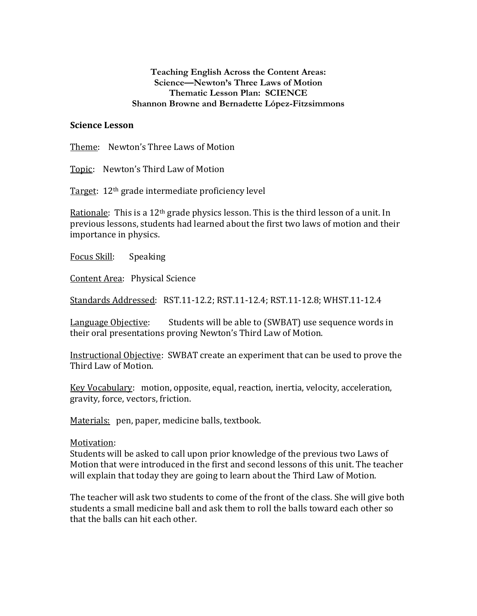## **Teaching English Across the Content Areas: Science—Newton's Three Laws of Motion Thematic Lesson Plan: SCIENCE Shannon Browne and Bernadette López-Fitzsimmons**

## **Science Lesson**

Theme: Newton's Three Laws of Motion

Topic: Newton's Third Law of Motion

Target: 12th grade intermediate proficiency level

Rationale: This is a  $12<sup>th</sup>$  grade physics lesson. This is the third lesson of a unit. In previous lessons, students had learned about the first two laws of motion and their importance in physics.

Focus Skill: Speaking

Content Area: Physical Science

Standards Addressed: RST.11-12.2; RST.11-12.4; RST.11-12.8; WHST.11-12.4

Language Objective: Students will be able to (SWBAT) use sequence words in their oral presentations proving Newton's Third Law of Motion.

Instructional Objective: SWBAT create an experiment that can be used to prove the Third Law of Motion.

Key Vocabulary: motion, opposite, equal, reaction, inertia, velocity, acceleration, gravity, force, vectors, friction.

Materials: pen, paper, medicine balls, textbook.

## Motivation:

Students will be asked to call upon prior knowledge of the previous two Laws of Motion that were introduced in the first and second lessons of this unit. The teacher will explain that today they are going to learn about the Third Law of Motion.

The teacher will ask two students to come of the front of the class. She will give both students a small medicine ball and ask them to roll the balls toward each other so that the balls can hit each other.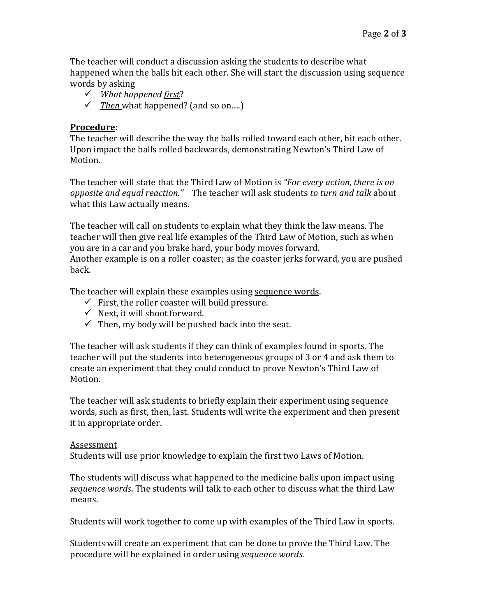The teacher will conduct a discussion asking the students to describe what happened when the balls hit each other. She will start the discussion using sequence words by asking

- *What happened first*?
- *Then* what happened? (and so on….)

# **Procedure**:

The teacher will describe the way the balls rolled toward each other, hit each other. Upon impact the balls rolled backwards, demonstrating Newton's Third Law of Motion.

The teacher will state that the Third Law of Motion is *"For every action, there is an opposite and equal reaction."* The teacher will ask students *to turn and talk* about what this Law actually means.

The teacher will call on students to explain what they think the law means. The teacher will then give real life examples of the Third Law of Motion, such as when you are in a car and you brake hard, your body moves forward. Another example is on a roller coaster; as the coaster jerks forward, you are pushed back.

The teacher will explain these examples using sequence words.

- $\checkmark$  First, the roller coaster will build pressure.
- $\checkmark$  Next, it will shoot forward.
- $\checkmark$  Then, my body will be pushed back into the seat.

The teacher will ask students if they can think of examples found in sports. The teacher will put the students into heterogeneous groups of 3 or 4 and ask them to create an experiment that they could conduct to prove Newton's Third Law of Motion.

The teacher will ask students to briefly explain their experiment using sequence words, such as first, then, last. Students will write the experiment and then present it in appropriate order.

## Assessment

Students will use prior knowledge to explain the first two Laws of Motion.

The students will discuss what happened to the medicine balls upon impact using *sequence words*. The students will talk to each other to discuss what the third Law means.

Students will work together to come up with examples of the Third Law in sports.

Students will create an experiment that can be done to prove the Third Law. The procedure will be explained in order using *sequence words*.